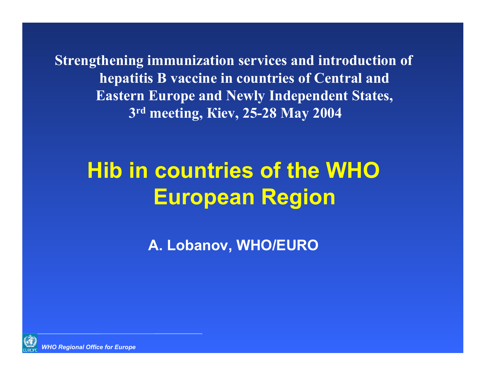**Strengthening immunization services and introduction of hepatitis B vaccine in countries of Central and Eastern Europe and Newly Independent States, 3rd meeting, Кiev, 25-28 May 2004**

# **Hib in countries of the WHO European Region**

**A. Lobanov, WHO/EURO**

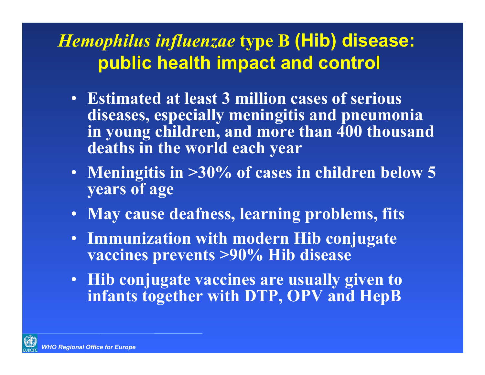## *Hemophilus influenzae* **type B (Hib) disease: public health impact and control**

- **Estimated at least 3 million cases of serious diseases, especially meningitis and pneumonia in young children, and more than 400 thousand deaths in the world each year**
- **Meningitis in >30% of cases in children below 5 years of age**
- **May cause deafness, learning problems, fits**
- **Immunization with modern Hib conjugate vaccines prevents >90% Hib disease**
- **Hib conjugate vaccines are usually given to infants together with DTP, OPV and HepB**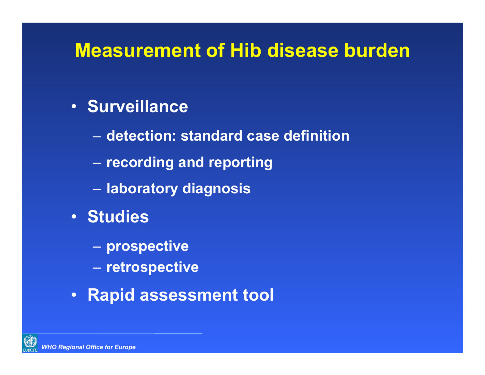# **Measurement of Hib disease burden**

### • **Surveillance**

- **detection: standard case definition**
- **recording and reporting**
- **laboratory diagnosis**
- **Studies**
	- **prospective**
	- **retrospective**
- **Rapid assessment tool**

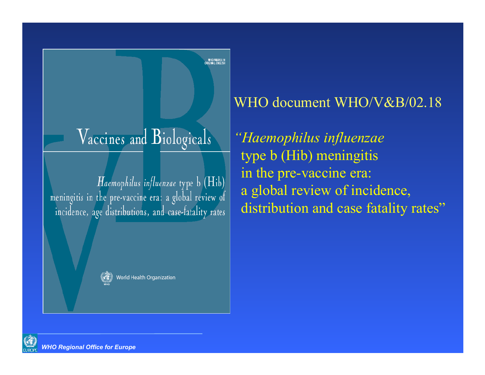# Vaccines and Biologicals

Haemophilus influenzae type b (Hib) meningitis in the pre-vaccine era: a global review of incidence, age distributions, and case-fatality rates



World Health Organization

### WHO document WHO/V&B/02.18

*"Haemophilus influenzae* type b (Hib) meningitis in the pre-vaccine era: a global review of incidence, distribution and case fatality rates"

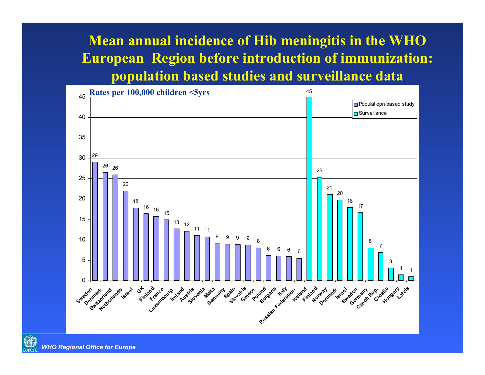### **Mean annual incidence of Hib meningitis in the WHO European Region before introduction of immunization: population based studies and surveillance data**





*WHO Regional Office for Europe*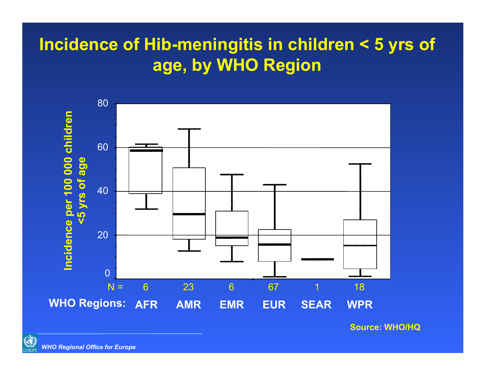### **Incidence of Hib-meningitis in children < 5 yrs of age, by WHO Region**



**Source: WHO/HQ**

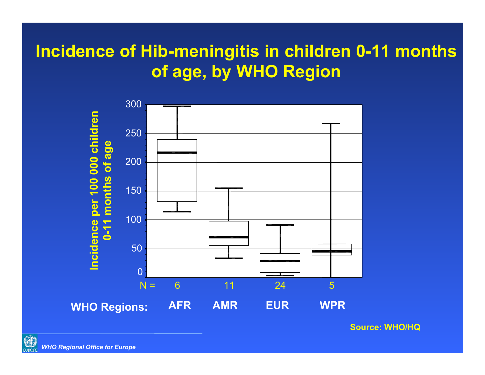### **Incidence of Hib-meningitis in children 0-11 months of age, by WHO Region**



**Source: WHO/HQ**

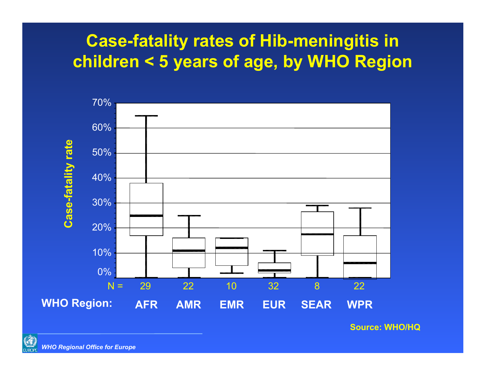### **Case-fatality rates of Hib-meningitis in children < 5 years of age, by WHO Region**



**Source: WHO/HQ**

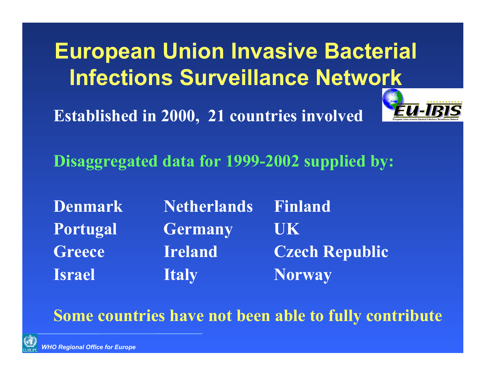**European Union Invasive Bacterial Infections Surveillance Network**

**Established in 2000, 21 countries involved**



**Disaggregated data for 1999-2002 supplied by:**

**Denmark Netherlands Finland Portugal Germany UK Greece Ireland Czech Republic Israel Italy Morway** 

### **Some countries have not been able to fully contribute**

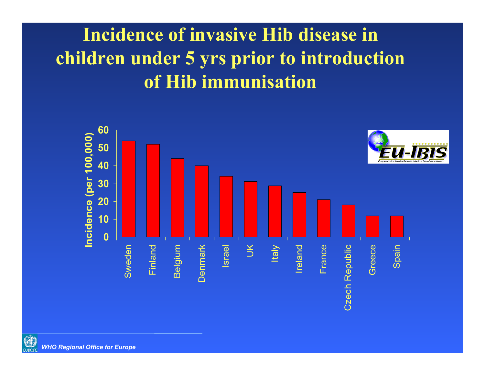# **Incidence of invasive Hib disease in children under 5 yrs prior to introduction of Hib immunisation**



 $\mathsf{\mathsf{C}}$ 

**CONTROP** *WHO Regional Office for Europe*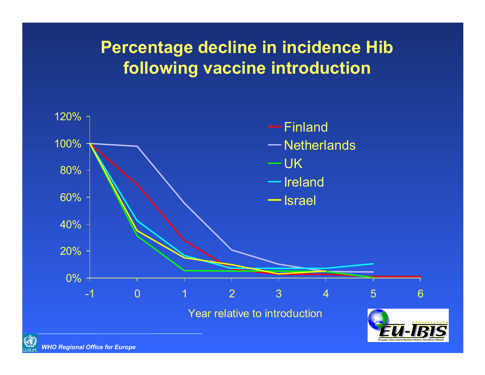### **Percentage decline in incidence Hib following vaccine introduction**



![](_page_10_Picture_2.jpeg)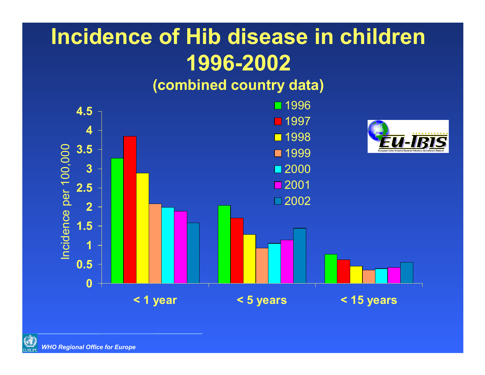# **Incidence of Hib disease in children 1996-2002 (combined country data)**

![](_page_11_Figure_1.jpeg)

![](_page_11_Picture_2.jpeg)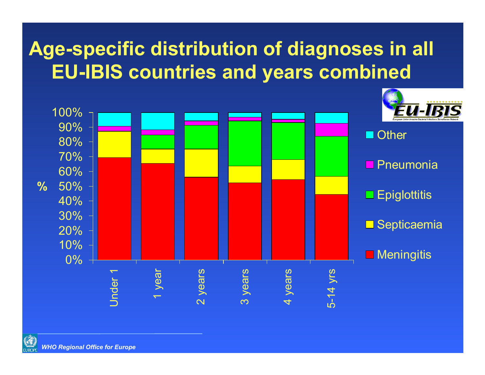# **Age-specific distribution of diagnoses in all EU-IBIS countries and years combined**

![](_page_12_Figure_1.jpeg)

![](_page_12_Picture_2.jpeg)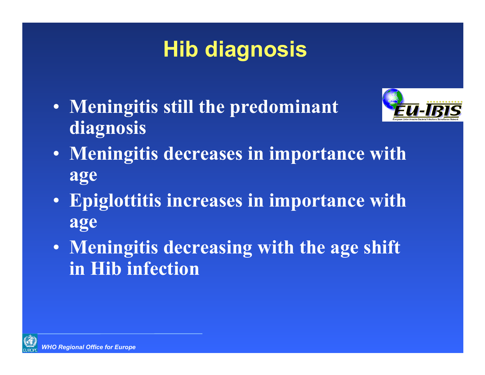# **Hib diagnosis**

• **Meningitis still the predominant diagnosis**

![](_page_13_Picture_2.jpeg)

- **Meningitis decreases in importance with age**
- **Epiglottitis increases in importance with age**
- **Meningitis decreasing with the age shift in Hib infection**

![](_page_13_Picture_6.jpeg)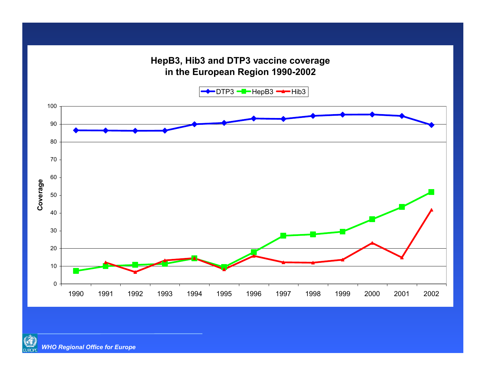#### **HepB3, Hib3 and DTP3 vaccine coverage in the European Region 1990-2002**

DTP3 <del>HII−</del>HepB3 <del>HI−</del>Hib3

![](_page_14_Figure_2.jpeg)

![](_page_14_Picture_3.jpeg)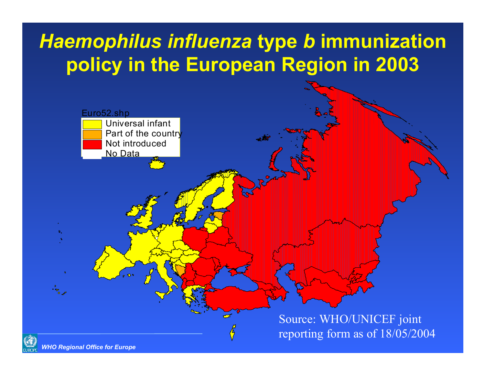# *Haemophilus influenza* **type** *b* **immunization policy in the European Region in 2003**

![](_page_15_Figure_1.jpeg)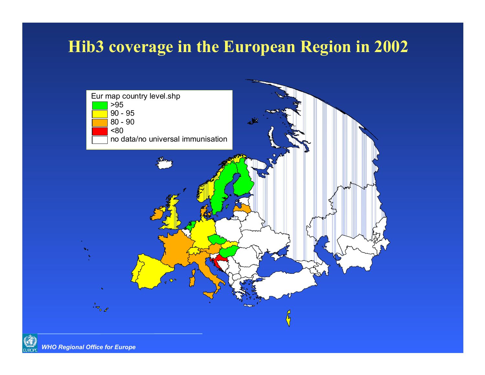### **Hib3 coverage in the European Region in 2002**

![](_page_16_Figure_1.jpeg)

![](_page_16_Picture_2.jpeg)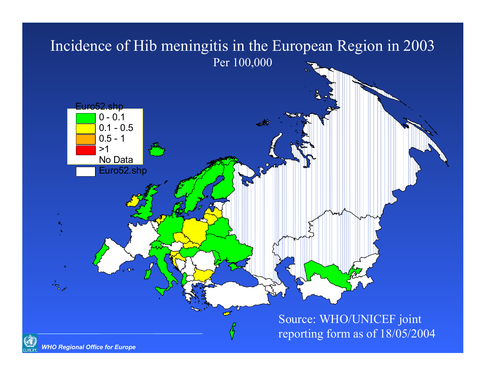# Incidence of Hib meningitis in the European Region in 2003 Per 100,000

![](_page_17_Figure_1.jpeg)

*WHO Regional Office for Europe*

G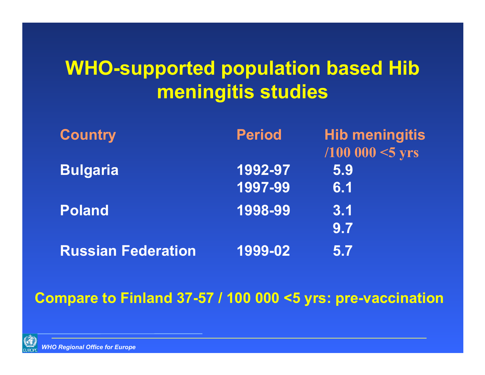# **WHO-supported population based Hib meningitis studies**

| <b>Country</b>            | <b>Period</b> | <b>Hib meningitis</b>      |
|---------------------------|---------------|----------------------------|
|                           |               | $(100000 < 5 \text{ yrs})$ |
| <b>Bulgaria</b>           | 1992-97       | 5.9                        |
|                           | 1997-99       | 6.1                        |
| <b>Poland</b>             | 1998-99       | 3.1                        |
|                           |               | 9.7                        |
| <b>Russian Federation</b> | 1999-02       | 5.7                        |

#### **Compare to Finland 37-57 / 100 000 <5 yrs: pre-vaccination**

![](_page_18_Picture_3.jpeg)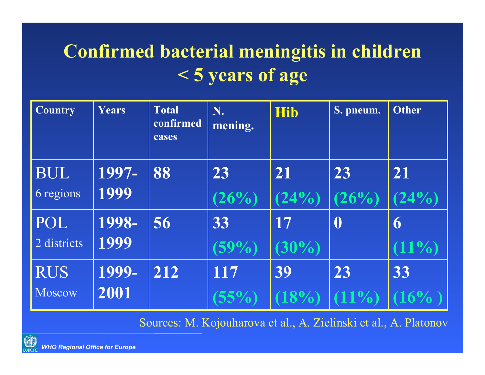# **Confirmed bacterial meningitis in children < 5 years of age**

| <b>Country</b> | Years | <b>Total</b><br>confirmed<br>cases | N.<br>mening. | <b>Hib</b> | S. pneum. | <b>Other</b> |
|----------------|-------|------------------------------------|---------------|------------|-----------|--------------|
| <b>BUL</b>     | 1997- | 88                                 | 23            | 21         | 23        | 21           |
| 6 regions      | 1999  |                                    | (26%)         | (24%)      | (26%)     | (24%)        |
| POL            | 1998- | 56                                 | 33            | 17         |           | 6            |
| 2 districts    | 1999  |                                    | $(59\%)$      | $(30\%)$   |           | $11\%$       |
| <b>RUS</b>     | 1999- | 212                                | 117           | 39         | 23        | 33           |
| Moscow         | 2001  |                                    | $55\%$        |            |           |              |

Sources: M. Kojouharova et al., A. Zielinski et al., A. Platonov

![](_page_19_Picture_3.jpeg)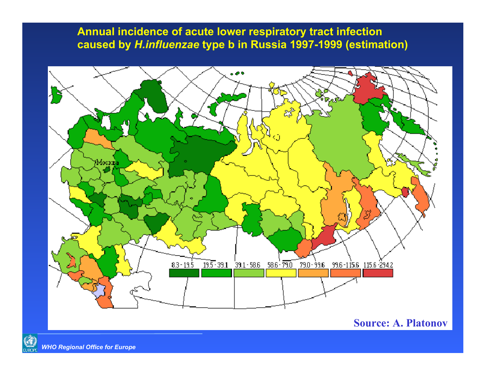**Annual incidence of acute lower respiratory tract infection caused by** *H.influenzae* **type b in Russia 1997-1999 (estimation)**

![](_page_20_Figure_1.jpeg)

#### **Source: A. Platonov**

![](_page_20_Picture_3.jpeg)

*WHO Regional Office for Europe*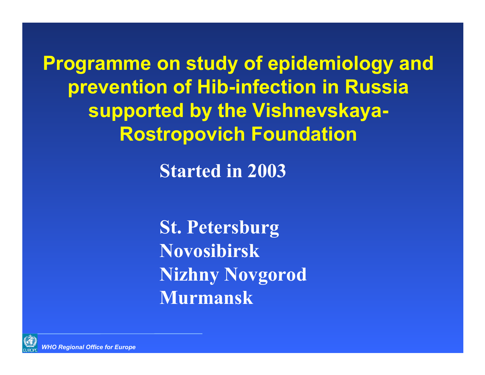**Programme on study of epidemiology and prevention of Hib-infection in Russia supported by the Vishnevskaya-Rostropovich Foundation**

**Started in 2003**

**St. Petersburg NovosibirskNizhny Novgorod Murmansk**

![](_page_21_Picture_3.jpeg)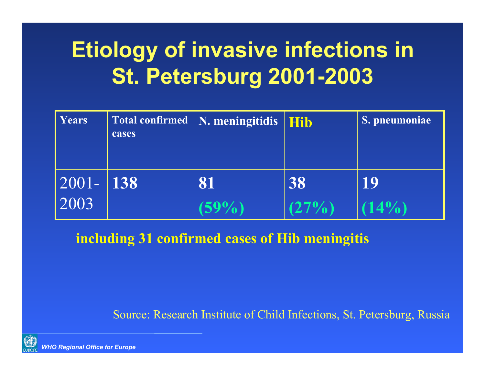# **Etiology of invasive infections in St. Petersburg 2001-2003**

| Years                                                                   | cases | $\vert$ Total confirmed $\vert$ N. meningitidis $\vert$ | <b>Hib</b>  | S. pneumoniae  |
|-------------------------------------------------------------------------|-------|---------------------------------------------------------|-------------|----------------|
| $\begin{array}{ c c c }\n\hline\n2001-138 \\ \hline\n2003\n\end{array}$ |       | 81                                                      | 38<br>(27%) | 19<br>$(14\%)$ |

**including 31 confirmed cases of Hib meningitis**

Source: Research Institute of Child Infections, St. Petersburg, Russia

![](_page_22_Picture_4.jpeg)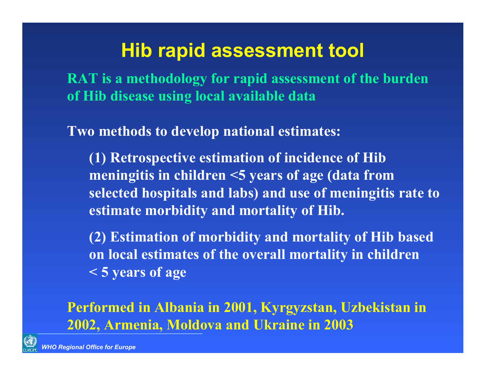# **Hib rapid assessment tool**

**RAT is a methodology for rapid assessment of the burden of Hib disease using local available data**

**Two methods to develop national estimates:**

**(1) Retrospective estimation of incidence of Hib meningitis in children <5 years of age (data from selected hospitals and labs) and use of meningitis rate to estimate morbidity and mortality of Hib.** 

**(2) Estimation of morbidity and mortality of Hib based on local estimates of the overall mortality in children < 5 years of age** 

### **Performed in Albania in 2001, Kyrgyzstan, Uzbekistan in 2002, Armenia, Moldova and Ukraine in 2003**

![](_page_23_Picture_6.jpeg)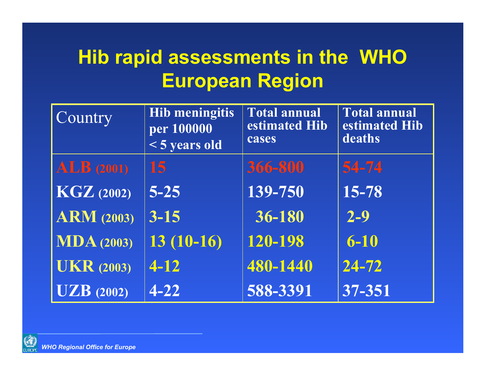# **Hib rapid assessments in the WHO European Region**

| Country                        | <b>Hib meningitis</b><br>per 100000<br><5 years old | <b>Total annual</b><br>estimated Hib<br>cases | <b>Total annual</b><br>estimated Hib<br>deaths |
|--------------------------------|-----------------------------------------------------|-----------------------------------------------|------------------------------------------------|
| ALB(2001)                      | 15                                                  | 366-800                                       | 54-74                                          |
| $\overline{\text{KGZ}}$ (2002) | $5 - 25$                                            | 139-750                                       | 15-78                                          |
| <b>ARM</b> (2003)              | $3 - 15$                                            | 36-180                                        | $2 - 9$                                        |
| MDA(2003)                      | $13(10-16)$                                         | 120-198                                       | $6 - 10$                                       |
| <b>UKR</b> (2003)              | $4 - 12$                                            | 480-1440                                      | $\overline{24-72}$                             |
| UZB(2002)                      | $4 - 22$                                            | 588-3391                                      | 37-351                                         |

![](_page_24_Picture_2.jpeg)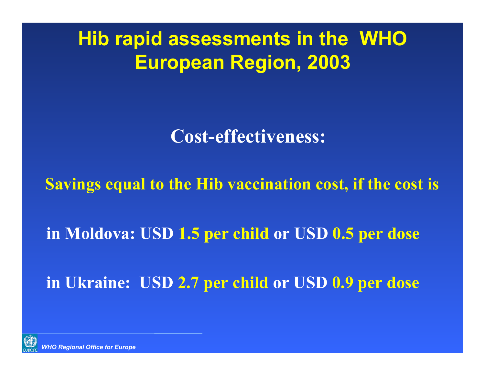**Hib rapid assessments in the WHO European Region, 2003**

**Cost-effectiveness:** 

**Savings equal to the Hib vaccination cost, if the cost is**

**in Moldova: USD 1.5 per child or USD 0.5 per dose**

**in Ukraine: USD 2.7 per child or USD 0.9 per dose**

![](_page_25_Picture_5.jpeg)

*WHO Regional Office for Europe*